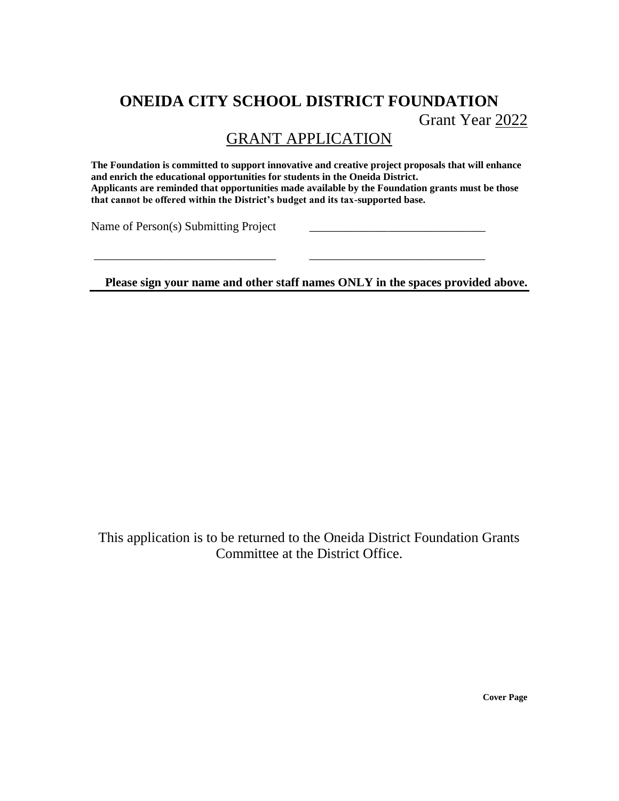# **ONEIDA CITY SCHOOL DISTRICT FOUNDATION**

Grant Year 2022

### GRANT APPLICATION

**The Foundation is committed to support innovative and creative project proposals that will enhance and enrich the educational opportunities for students in the Oneida District. Applicants are reminded that opportunities made available by the Foundation grants must be those that cannot be offered within the District's budget and its tax-supported base.**

\_\_\_\_\_\_\_\_\_\_\_\_\_\_\_\_\_\_\_\_\_\_\_\_\_\_\_\_\_\_ \_\_\_\_\_\_\_\_\_\_\_\_\_\_\_\_\_\_\_\_\_\_\_\_\_\_\_\_\_

Name of Person(s) Submitting Project

**Please sign your name and other staff names ONLY in the spaces provided above.**

This application is to be returned to the Oneida District Foundation Grants Committee at the District Office.

**Cover Page**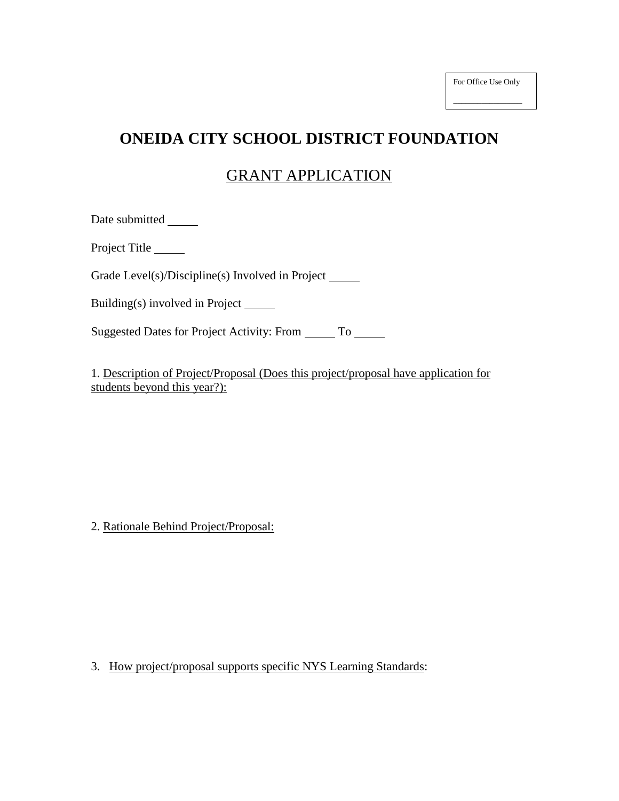For Office Use Only  $\overline{\phantom{a}}$  , where  $\overline{\phantom{a}}$ 

## **ONEIDA CITY SCHOOL DISTRICT FOUNDATION**

### GRANT APPLICATION

| Date submitted                                           |  |
|----------------------------------------------------------|--|
| Project Title                                            |  |
| Grade Level(s)/Discipline(s) Involved in Project         |  |
| Building(s) involved in Project $\overline{\phantom{a}}$ |  |
| Suggested Dates for Project Activity: From _______ To    |  |
|                                                          |  |

1. Description of Project/Proposal (Does this project/proposal have application for students beyond this year?):

2. Rationale Behind Project/Proposal:

3. How project/proposal supports specific NYS Learning Standards: